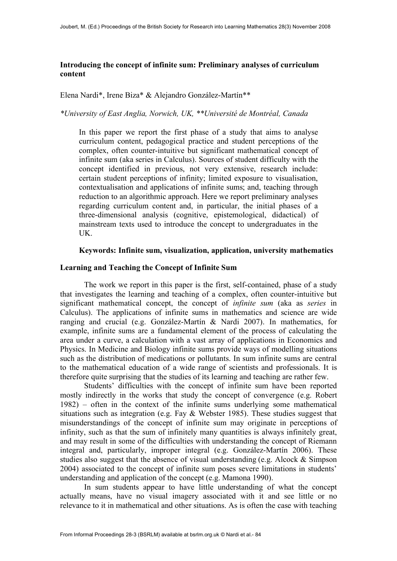## **Introducing the concept of infinite sum: Preliminary analyses of curriculum content**

Elena Nardi\*, Irene Biza\* & Alejandro González-Martín\*\*

*\*University of East Anglia, Norwich, UK, \*\*Université de Montréal, Canada*

In this paper we report the first phase of a study that aims to analyse curriculum content, pedagogical practice and student perceptions of the complex, often counter-intuitive but significant mathematical concept of infinite sum (aka series in Calculus). Sources of student difficulty with the concept identified in previous, not very extensive, research include: certain student perceptions of infinity; limited exposure to visualisation, contextualisation and applications of infinite sums; and, teaching through reduction to an algorithmic approach. Here we report preliminary analyses regarding curriculum content and, in particular, the initial phases of a three-dimensional analysis (cognitive, epistemological, didactical) of mainstream texts used to introduce the concept to undergraduates in the UK.

### **Keywords: Infinite sum, visualization, application, university mathematics**

#### **Learning and Teaching the Concept of Infinite Sum**

The work we report in this paper is the first, self-contained, phase of a study that investigates the learning and teaching of a complex, often counter-intuitive but significant mathematical concept, the concept of *infinite sum* (aka as *series* in Calculus). The applications of infinite sums in mathematics and science are wide ranging and crucial (e.g. González-Martín & Nardi 2007). In mathematics, for example, infinite sums are a fundamental element of the process of calculating the area under a curve, a calculation with a vast array of applications in Economics and Physics. In Medicine and Biology infinite sums provide ways of modelling situations such as the distribution of medications or pollutants. In sum infinite sums are central to the mathematical education of a wide range of scientists and professionals. It is therefore quite surprising that the studies of its learning and teaching are rather few.

Students' difficulties with the concept of infinite sum have been reported mostly indirectly in the works that study the concept of convergence (e.g. Robert 1982) – often in the context of the infinite sums underlying some mathematical situations such as integration (e.g. Fay & Webster 1985). These studies suggest that misunderstandings of the concept of infinite sum may originate in perceptions of infinity, such as that the sum of infinitely many quantities is always infinitely great, and may result in some of the difficulties with understanding the concept of Riemann integral and, particularly, improper integral (e.g. González-Martín 2006). These studies also suggest that the absence of visual understanding (e.g. Alcock & Simpson 2004) associated to the concept of infinite sum poses severe limitations in students' understanding and application of the concept (e.g. Mamona 1990).

In sum students appear to have little understanding of what the concept actually means, have no visual imagery associated with it and see little or no relevance to it in mathematical and other situations. As is often the case with teaching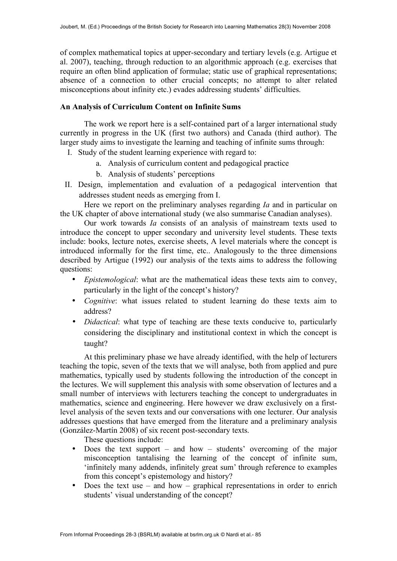of complex mathematical topics at upper-secondary and tertiary levels (e.g. Artigue et al. 2007), teaching, through reduction to an algorithmic approach (e.g. exercises that require an often blind application of formulae; static use of graphical representations; absence of a connection to other crucial concepts; no attempt to alter related misconceptions about infinity etc.) evades addressing students' difficulties.

# **An Analysis of Curriculum Content on Infinite Sums**

The work we report here is a self-contained part of a larger international study currently in progress in the UK (first two authors) and Canada (third author). The larger study aims to investigate the learning and teaching of infinite sums through:

- I. Study of the student learning experience with regard to:
	- a. Analysis of curriculum content and pedagogical practice
	- b. Analysis of students' perceptions
- II. Design, implementation and evaluation of a pedagogical intervention that addresses student needs as emerging from I.

Here we report on the preliminary analyses regarding *Ia* and in particular on the UK chapter of above international study (we also summarise Canadian analyses).

Our work towards *Ia* consists of an analysis of mainstream texts used to introduce the concept to upper secondary and university level students. These texts include: books, lecture notes, exercise sheets, A level materials where the concept is introduced informally for the first time, etc.. Analogously to the three dimensions described by Artigue (1992) our analysis of the texts aims to address the following questions:

- *Epistemological*: what are the mathematical ideas these texts aim to convey, particularly in the light of the concept's history?
- *Cognitive*: what issues related to student learning do these texts aim to address?
- *Didactical*: what type of teaching are these texts conducive to, particularly considering the disciplinary and institutional context in which the concept is taught?

At this preliminary phase we have already identified, with the help of lecturers teaching the topic, seven of the texts that we will analyse, both from applied and pure mathematics, typically used by students following the introduction of the concept in the lectures. We will supplement this analysis with some observation of lectures and a small number of interviews with lecturers teaching the concept to undergraduates in mathematics, science and engineering. Here however we draw exclusively on a firstlevel analysis of the seven texts and our conversations with one lecturer. Our analysis addresses questions that have emerged from the literature and a preliminary analysis (González-Martín 2008) of six recent post-secondary texts.

These questions include:

- Does the text support and how students' overcoming of the major misconception tantalising the learning of the concept of infinite sum, 'infinitely many addends, infinitely great sum' through reference to examples from this concept's epistemology and history?
- Does the text use and how graphical representations in order to enrich students' visual understanding of the concept?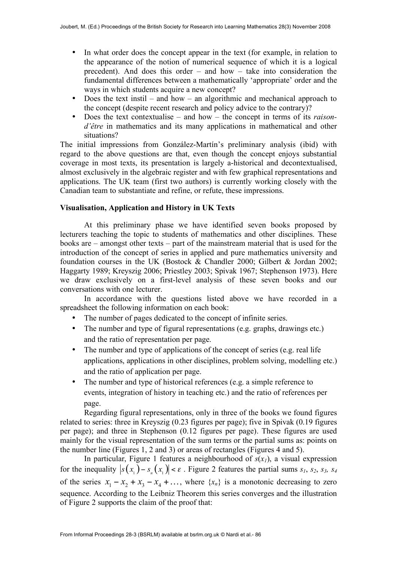- In what order does the concept appear in the text (for example, in relation to the appearance of the notion of numerical sequence of which it is a logical precedent). And does this order – and how – take into consideration the fundamental differences between a mathematically 'appropriate' order and the ways in which students acquire a new concept?
- Does the text instil and how an algorithmic and mechanical approach to the concept (despite recent research and policy advice to the contrary)?
- Does the text contextualise and how the concept in terms of its *raisond'être* in mathematics and its many applications in mathematical and other situations?

The initial impressions from González-Martín's preliminary analysis (ibid) with regard to the above questions are that, even though the concept enjoys substantial coverage in most texts, its presentation is largely a-historical and decontextualised, almost exclusively in the algebraic register and with few graphical representations and applications. The UK team (first two authors) is currently working closely with the Canadian team to substantiate and refine, or refute, these impressions.

## **Visualisation, Application and History in UK Texts**

At this preliminary phase we have identified seven books proposed by lecturers teaching the topic to students of mathematics and other disciplines. These books are – amongst other texts – part of the mainstream material that is used for the introduction of the concept of series in applied and pure mathematics university and foundation courses in the UK (Bostock & Chandler 2000; Gilbert & Jordan 2002; Haggarty 1989; Kreyszig 2006; Priestley 2003; Spivak 1967; Stephenson 1973). Here we draw exclusively on a first-level analysis of these seven books and our conversations with one lecturer.

In accordance with the questions listed above we have recorded in a spreadsheet the following information on each book:

- The number of pages dedicated to the concept of infinite series.
- The number and type of figural representations (e.g. graphs, drawings etc.) and the ratio of representation per page.
- The number and type of applications of the concept of series (e.g. real life applications, applications in other disciplines, problem solving, modelling etc.) and the ratio of application per page.
- The number and type of historical references (e.g. a simple reference to events, integration of history in teaching etc.) and the ratio of references per page.

Regarding figural representations, only in three of the books we found figures related to series: three in Kreyszig (0.23 figures per page); five in Spivak (0.19 figures per page); and three in Stephenson (0.12 figures per page). These figures are used mainly for the visual representation of the sum terms or the partial sums as: points on the number line (Figures 1, 2 and 3) or areas of rectangles (Figures 4 and 5).

In particular, Figure 1 features a neighbourhood of  $s(x_1)$ , a visual expression for the inequality  $|s(x_1) - s(x_2)| < \varepsilon$ . Figure 2 features the partial sums  $s_1$ ,  $s_2$ ,  $s_3$ ,  $s_4$ of the series  $x_1 - x_2 + x_3 - x_4 + ...$ , where  $\{x_n\}$  is a monotonic decreasing to zero sequence. According to the Leibniz Theorem this series converges and the illustration of Figure 2 supports the claim of the proof that: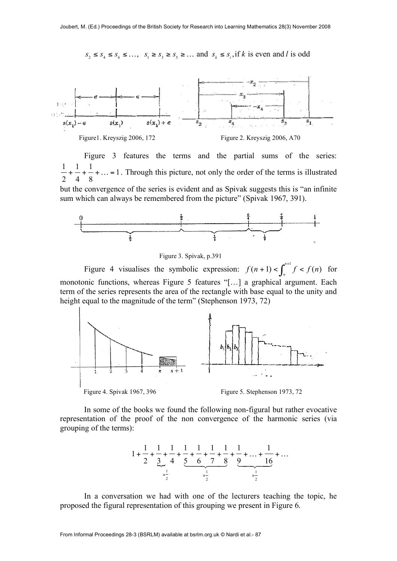$S_2 \leq S_4 \leq S_6 \leq \dots$ ,  $S_1 \geq S_3 \geq S_5 \geq \dots$  and  $S_k \leq S_t$ , if k is even and l is odd



Figure 3 features the terms and the partial sums of the series: 1 1 1 1 2 4 8  $+\frac{1}{\sqrt{2}}+\dots=1$ . Through this picture, not only the order of the terms is illustrated but the convergence of the series is evident and as Spivak suggests this is "an infinite sum which can always be remembered from the picture" (Spivak 1967, 391).



Figure 3. Spivak, p.391

Figure 4 visualises the symbolic expression:  $f(n+1) < \int^{n+1} f < f(n)$  $f(n+1) < \int_{n}^{n+1} f < f(n)$  for monotonic functions, whereas Figure 5 features "[…] a graphical argument. Each term of the series represents the area of the rectangle with base equal to the unity and height equal to the magnitude of the term" (Stephenson 1973, 72)



Figure 4. Spivak 1967, 396 Figure 5. Stephenson 1973, 72

In some of the books we found the following non-figural but rather evocative representation of the proof of the non convergence of the harmonic series (via grouping of the terms):



In a conversation we had with one of the lecturers teaching the topic, he proposed the figural representation of this grouping we present in Figure 6.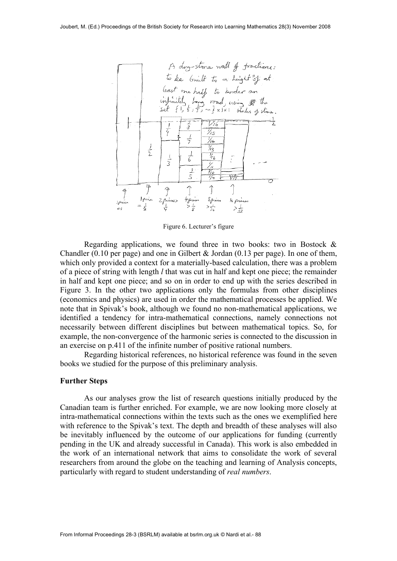

Figure 6. Lecturer's figure

Regarding applications, we found three in two books: two in Bostock  $\&$ Chandler (0.10 per page) and one in Gilbert  $&$  Jordan (0.13 per page). In one of them, which only provided a context for a materially-based calculation, there was a problem of a piece of string with length *l* that was cut in half and kept one piece; the remainder in half and kept one piece; and so on in order to end up with the series described in Figure 3. In the other two applications only the formulas from other disciplines (economics and physics) are used in order the mathematical processes be applied. We note that in Spivak's book, although we found no non-mathematical applications, we identified a tendency for intra-mathematical connections, namely connections not necessarily between different disciplines but between mathematical topics. So, for example, the non-convergence of the harmonic series is connected to the discussion in an exercise on p.411 of the infinite number of positive rational numbers.

Regarding historical references, no historical reference was found in the seven books we studied for the purpose of this preliminary analysis.

#### **Further Steps**

As our analyses grow the list of research questions initially produced by the Canadian team is further enriched. For example, we are now looking more closely at intra-mathematical connections within the texts such as the ones we exemplified here with reference to the Spivak's text. The depth and breadth of these analyses will also be inevitably influenced by the outcome of our applications for funding (currently pending in the UK and already successful in Canada). This work is also embedded in the work of an international network that aims to consolidate the work of several researchers from around the globe on the teaching and learning of Analysis concepts, particularly with regard to student understanding of *real numbers*.